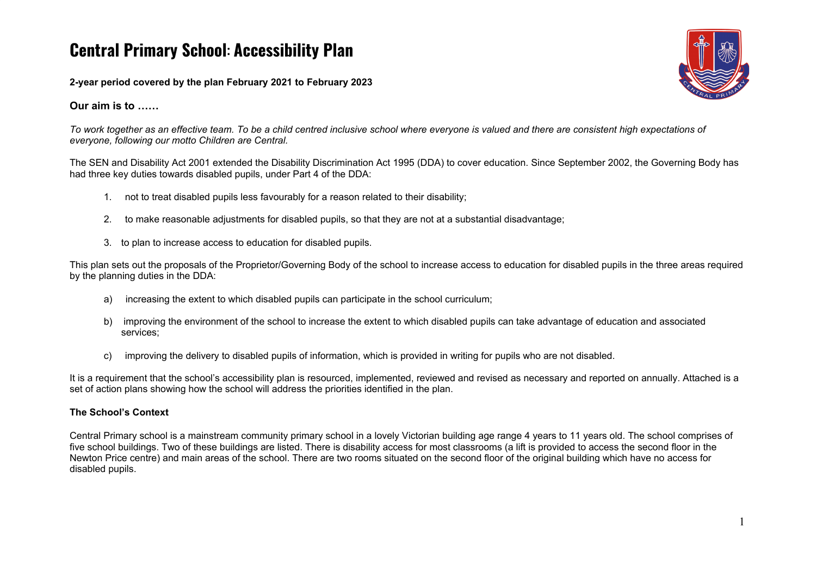# **Central Primary School**: **Accessibility Plan**

**2-year period covered by the plan February 2021 to February 2023**

**Our aim is to ……**

To work together as an effective team. To be a child centred inclusive school where everyone is valued and there are consistent high expectations of *everyone, following our motto Children are Central.*

The SEN and Disability Act 2001 extended the Disability Discrimination Act 1995 (DDA) to cover education. Since September 2002, the Governing Body has had three key duties towards disabled pupils, under Part 4 of the DDA:

- 1. not to treat disabled pupils less favourably for a reason related to their disability;
- 2. to make reasonable adjustments for disabled pupils, so that they are not at a substantial disadvantage;
- 3. to plan to increase access to education for disabled pupils.

This plan sets out the proposals of the Proprietor/Governing Body of the school to increase access to education for disabled pupils in the three areas required by the planning duties in the DDA:

- a) increasing the extent to which disabled pupils can participate in the school curriculum;
- b) improving the environment of the school to increase the extent to which disabled pupils can take advantage of education and associated services;
- c) improving the delivery to disabled pupils of information, which is provided in writing for pupils who are not disabled.

It is a requirement that the school's accessibility plan is resourced, implemented, reviewed and revised as necessary and reported on annually. Attached is a set of action plans showing how the school will address the priorities identified in the plan.

## **The School's Context**

Central Primary school is a mainstream community primary school in a lovely Victorian building age range 4 years to 11 years old. The school comprises of five school buildings. Two of these buildings are listed. There is disability access for most classrooms (a lift is provided to access the second floor in the Newton Price centre) and main areas of the school. There are two rooms situated on the second floor of the original building which have no access for disabled pupils.

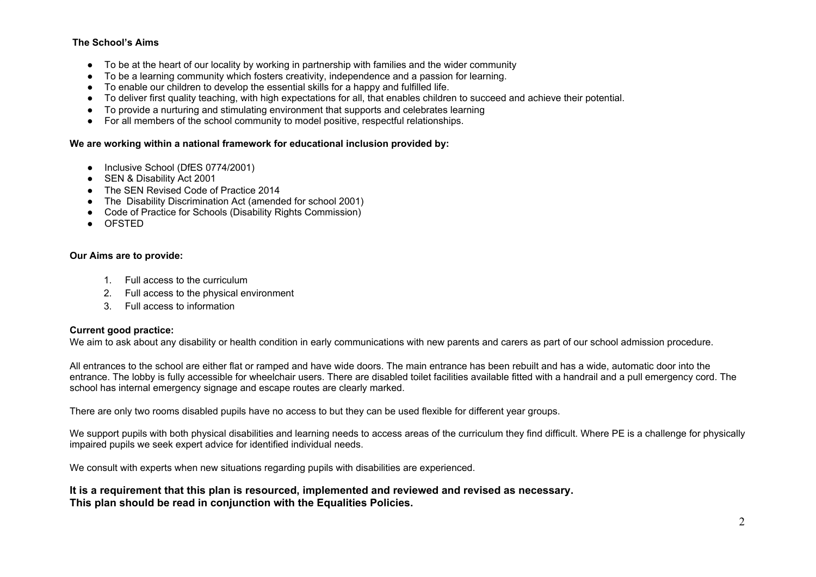### **The School's Aims**

- To be at the heart of our locality by working in partnership with families and the wider community
- To be a learning community which fosters creativity, independence and a passion for learning.
- To enable our children to develop the essential skills for a happy and fulfilled life.
- To deliver first quality teaching, with high expectations for all, that enables children to succeed and achieve their potential.
- To provide a nurturing and stimulating environment that supports and celebrates learning
- For all members of the school community to model positive, respectful relationships.

#### **We are working within a national framework for educational inclusion provided by:**

- Inclusive School (DfES 0774/2001)
- SEN & Disability Act 2001
- The SEN Revised Code of Practice 2014
- The Disability Discrimination Act (amended for school 2001)
- Code of Practice for Schools (Disability Rights Commission)
- OFSTED

#### **Our Aims are to provide:**

- 1. Full access to the curriculum
- 2. Full access to the physical environment
- 3. Full access to information

#### **Current good practice:**

We aim to ask about any disability or health condition in early communications with new parents and carers as part of our school admission procedure.

All entrances to the school are either flat or ramped and have wide doors. The main entrance has been rebuilt and has a wide, automatic door into the entrance. The lobby is fully accessible for wheelchair users. There are disabled toilet facilities available fitted with a handrail and a pull emergency cord. The school has internal emergency signage and escape routes are clearly marked.

There are only two rooms disabled pupils have no access to but they can be used flexible for different year groups.

We support pupils with both physical disabilities and learning needs to access areas of the curriculum they find difficult. Where PE is a challenge for physically impaired pupils we seek expert advice for identified individual needs.

We consult with experts when new situations regarding pupils with disabilities are experienced.

#### **It is a requirement that this plan is resourced, implemented and reviewed and revised as necessary. This plan should be read in conjunction with the Equalities Policies.**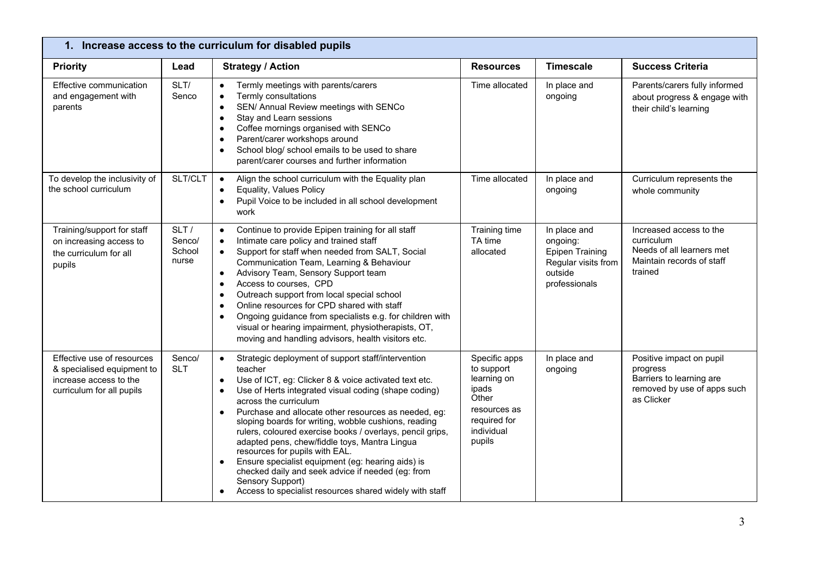| 1. Increase access to the curriculum for disabled pupils                                                        |                                   |                                                                                                                                                                                                                                                                                                                                                                                                                                                                                                                                                                                                                                                                                                                                                |                                                                                                                      |                                                                                                       |                                                                                                               |
|-----------------------------------------------------------------------------------------------------------------|-----------------------------------|------------------------------------------------------------------------------------------------------------------------------------------------------------------------------------------------------------------------------------------------------------------------------------------------------------------------------------------------------------------------------------------------------------------------------------------------------------------------------------------------------------------------------------------------------------------------------------------------------------------------------------------------------------------------------------------------------------------------------------------------|----------------------------------------------------------------------------------------------------------------------|-------------------------------------------------------------------------------------------------------|---------------------------------------------------------------------------------------------------------------|
| <b>Priority</b>                                                                                                 | Lead                              | <b>Strategy / Action</b>                                                                                                                                                                                                                                                                                                                                                                                                                                                                                                                                                                                                                                                                                                                       | <b>Resources</b>                                                                                                     | <b>Timescale</b>                                                                                      | <b>Success Criteria</b>                                                                                       |
| Effective communication<br>and engagement with<br>parents                                                       | SLT/<br>Senco                     | Termly meetings with parents/carers<br>$\bullet$<br>Termly consultations<br>$\bullet$<br>SEN/ Annual Review meetings with SENCo<br>$\bullet$<br>Stay and Learn sessions<br>$\bullet$<br>Coffee mornings organised with SENCo<br>$\bullet$<br>Parent/carer workshops around<br>$\bullet$<br>School blog/ school emails to be used to share<br>$\bullet$<br>parent/carer courses and further information                                                                                                                                                                                                                                                                                                                                         | Time allocated                                                                                                       | In place and<br>ongoing                                                                               | Parents/carers fully informed<br>about progress & engage with<br>their child's learning                       |
| To develop the inclusivity of<br>the school curriculum                                                          | SLT/CLT                           | Align the school curriculum with the Equality plan<br>$\bullet$<br>Equality, Values Policy<br>$\bullet$<br>Pupil Voice to be included in all school development<br>work                                                                                                                                                                                                                                                                                                                                                                                                                                                                                                                                                                        | Time allocated                                                                                                       | In place and<br>ongoing                                                                               | Curriculum represents the<br>whole community                                                                  |
| Training/support for staff<br>on increasing access to<br>the curriculum for all<br>pupils                       | SLT/<br>Senco/<br>School<br>nurse | Continue to provide Epipen training for all staff<br>$\bullet$<br>Intimate care policy and trained staff<br>$\bullet$<br>Support for staff when needed from SALT, Social<br>$\bullet$<br>Communication Team, Learning & Behaviour<br>Advisory Team, Sensory Support team<br>$\bullet$<br>Access to courses, CPD<br>$\bullet$<br>Outreach support from local special school<br>$\bullet$<br>Online resources for CPD shared with staff<br>$\bullet$<br>Ongoing guidance from specialists e.g. for children with<br>$\bullet$<br>visual or hearing impairment, physiotherapists, OT,<br>moving and handling advisors, health visitors etc.                                                                                                       | Training time<br>TA time<br>allocated                                                                                | In place and<br>ongoing:<br><b>Epipen Training</b><br>Regular visits from<br>outside<br>professionals | Increased access to the<br>curriculum<br>Needs of all learners met<br>Maintain records of staff<br>trained    |
| Effective use of resources<br>& specialised equipment to<br>increase access to the<br>curriculum for all pupils | Senco/<br><b>SLT</b>              | Strategic deployment of support staff/intervention<br>$\bullet$<br>teacher<br>Use of ICT, eg: Clicker 8 & voice activated text etc.<br>$\bullet$<br>Use of Herts integrated visual coding (shape coding)<br>$\bullet$<br>across the curriculum<br>Purchase and allocate other resources as needed, eg:<br>$\bullet$<br>sloping boards for writing, wobble cushions, reading<br>rulers, coloured exercise books / overlays, pencil grips,<br>adapted pens, chew/fiddle toys, Mantra Lingua<br>resources for pupils with EAL.<br>Ensure specialist equipment (eg: hearing aids) is<br>$\bullet$<br>checked daily and seek advice if needed (eg: from<br>Sensory Support)<br>Access to specialist resources shared widely with staff<br>$\bullet$ | Specific apps<br>to support<br>learning on<br>ipads<br>Other<br>resources as<br>required for<br>individual<br>pupils | In place and<br>ongoing                                                                               | Positive impact on pupil<br>progress<br>Barriers to learning are<br>removed by use of apps such<br>as Clicker |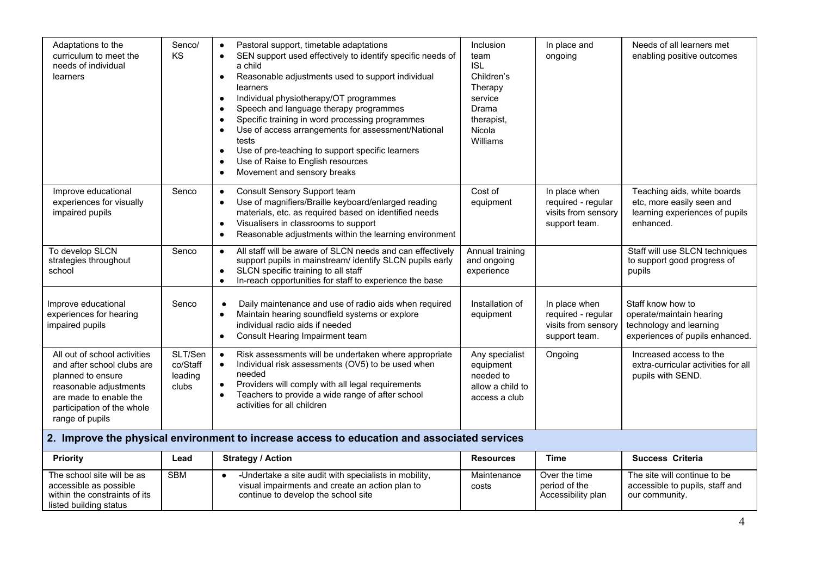| Adaptations to the<br>curriculum to meet the<br>needs of individual<br>learners                                                                                                      | Senco/<br><b>KS</b>                     | Pastoral support, timetable adaptations<br>SEN support used effectively to identify specific needs of<br>$\bullet$<br>a child<br>Reasonable adjustments used to support individual<br>$\bullet$<br>learners<br>Individual physiotherapy/OT programmes<br>$\bullet$<br>Speech and language therapy programmes<br>$\bullet$<br>Specific training in word processing programmes<br>$\bullet$<br>Use of access arrangements for assessment/National<br>tests<br>Use of pre-teaching to support specific learners<br>$\bullet$<br>Use of Raise to English resources<br>Movement and sensory breaks | <b>Inclusion</b><br>team<br><b>ISL</b><br>Children's<br>Therapy<br>service<br><b>Drama</b><br>therapist,<br>Nicola<br>Williams | In place and<br>ongoing                                                     | Needs of all learners met<br>enabling positive outcomes                                                     |
|--------------------------------------------------------------------------------------------------------------------------------------------------------------------------------------|-----------------------------------------|-----------------------------------------------------------------------------------------------------------------------------------------------------------------------------------------------------------------------------------------------------------------------------------------------------------------------------------------------------------------------------------------------------------------------------------------------------------------------------------------------------------------------------------------------------------------------------------------------|--------------------------------------------------------------------------------------------------------------------------------|-----------------------------------------------------------------------------|-------------------------------------------------------------------------------------------------------------|
| Improve educational<br>experiences for visually<br>impaired pupils                                                                                                                   | Senco                                   | Consult Sensory Support team<br>$\bullet$<br>Use of magnifiers/Braille keyboard/enlarged reading<br>$\bullet$<br>materials, etc. as required based on identified needs<br>Visualisers in classrooms to support<br>$\bullet$<br>Reasonable adjustments within the learning environment                                                                                                                                                                                                                                                                                                         | Cost of<br>equipment                                                                                                           | In place when<br>required - regular<br>visits from sensory<br>support team. | Teaching aids, white boards<br>etc, more easily seen and<br>learning experiences of pupils<br>enhanced.     |
| To develop SLCN<br>strategies throughout<br>school                                                                                                                                   | Senco                                   | All staff will be aware of SLCN needs and can effectively<br>$\bullet$<br>support pupils in mainstream/ identify SLCN pupils early<br>SLCN specific training to all staff<br>$\bullet$<br>In-reach opportunities for staff to experience the base                                                                                                                                                                                                                                                                                                                                             | Annual training<br>and ongoing<br>experience                                                                                   |                                                                             | Staff will use SLCN techniques<br>to support good progress of<br>pupils                                     |
| Improve educational<br>experiences for hearing<br>impaired pupils                                                                                                                    | Senco                                   | Daily maintenance and use of radio aids when required<br>Maintain hearing soundfield systems or explore<br>$\bullet$<br>individual radio aids if needed<br>Consult Hearing Impairment team<br>$\bullet$                                                                                                                                                                                                                                                                                                                                                                                       | Installation of<br>equipment                                                                                                   | In place when<br>required - regular<br>visits from sensory<br>support team. | Staff know how to<br>operate/maintain hearing<br>technology and learning<br>experiences of pupils enhanced. |
| All out of school activities<br>and after school clubs are<br>planned to ensure<br>reasonable adjustments<br>are made to enable the<br>participation of the whole<br>range of pupils | SLT/Sen<br>co/Staff<br>leading<br>clubs | Risk assessments will be undertaken where appropriate<br>Individual risk assessments (OV5) to be used when<br>needed<br>Providers will comply with all legal requirements<br>$\bullet$<br>Teachers to provide a wide range of after school<br>$\bullet$<br>activities for all children                                                                                                                                                                                                                                                                                                        | Any specialist<br>equipment<br>needed to<br>allow a child to<br>access a club                                                  | Ongoing                                                                     | Increased access to the<br>extra-curricular activities for all<br>pupils with SEND.                         |
| 2. Improve the physical environment to increase access to education and associated services                                                                                          |                                         |                                                                                                                                                                                                                                                                                                                                                                                                                                                                                                                                                                                               |                                                                                                                                |                                                                             |                                                                                                             |

| <b>Priority</b>                                                                                                 | Lead       | <b>Strategy / Action</b>                                                                                                                        | <b>Resources</b>     | Time                                                 | <b>Success Criteria</b>                                                           |
|-----------------------------------------------------------------------------------------------------------------|------------|-------------------------------------------------------------------------------------------------------------------------------------------------|----------------------|------------------------------------------------------|-----------------------------------------------------------------------------------|
| The school site will be as<br>accessible as possible<br>within the constraints of its<br>listed building status | <b>SBM</b> | -Undertake a site audit with specialists in mobility.<br>visual impairments and create an action plan to<br>continue to develop the school site | Maintenance<br>costs | Over the time<br>period of the<br>Accessibility plan | The site will continue to be<br>accessible to pupils, staff and<br>our community. |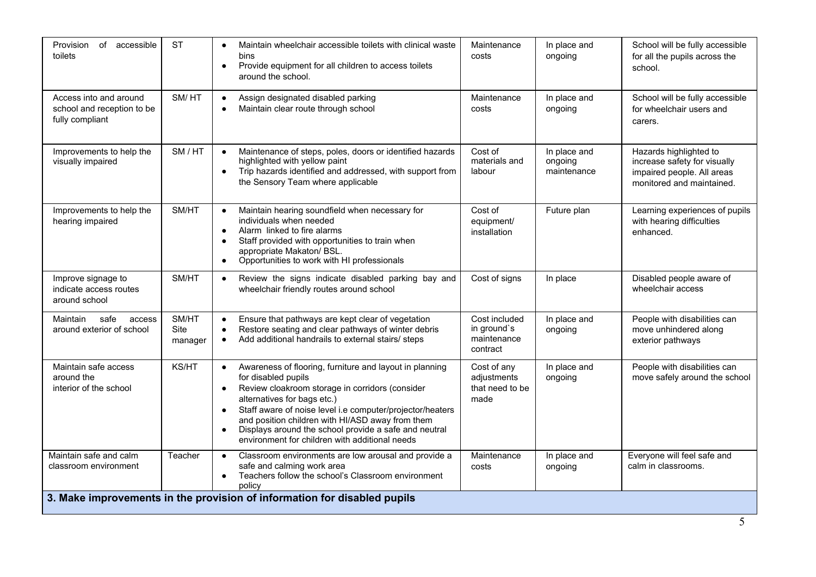| Provision<br>of accessible<br>toilets                                    | <b>ST</b>                | Maintain wheelchair accessible toilets with clinical waste<br>bins<br>Provide equipment for all children to access toilets<br>$\bullet$<br>around the school.                                                                                                                                                                                                                                                                                    | Maintenance<br>costs                                    | In place and<br>ongoing                | School will be fully accessible<br>for all the pupils across the<br>school.                                       |
|--------------------------------------------------------------------------|--------------------------|--------------------------------------------------------------------------------------------------------------------------------------------------------------------------------------------------------------------------------------------------------------------------------------------------------------------------------------------------------------------------------------------------------------------------------------------------|---------------------------------------------------------|----------------------------------------|-------------------------------------------------------------------------------------------------------------------|
| Access into and around<br>school and reception to be<br>fully compliant  | SM/HT                    | Assign designated disabled parking<br>$\bullet$<br>Maintain clear route through school<br>$\bullet$                                                                                                                                                                                                                                                                                                                                              | Maintenance<br>costs                                    | In place and<br>ongoing                | School will be fully accessible<br>for wheelchair users and<br>carers.                                            |
| Improvements to help the<br>visually impaired                            | SM / HT                  | Maintenance of steps, poles, doors or identified hazards<br>$\bullet$<br>highlighted with yellow paint<br>Trip hazards identified and addressed, with support from<br>$\bullet$<br>the Sensory Team where applicable                                                                                                                                                                                                                             | Cost of<br>materials and<br>labour                      | In place and<br>ongoing<br>maintenance | Hazards highlighted to<br>increase safety for visually<br>impaired people. All areas<br>monitored and maintained. |
| Improvements to help the<br>hearing impaired                             | SM/HT                    | Maintain hearing soundfield when necessary for<br>$\bullet$<br>individuals when needed<br>Alarm linked to fire alarms<br>$\bullet$<br>Staff provided with opportunities to train when<br>$\bullet$<br>appropriate Makaton/ BSL.<br>Opportunities to work with HI professionals<br>$\bullet$                                                                                                                                                      | Cost of<br>equipment/<br>installation                   | Future plan                            | Learning experiences of pupils<br>with hearing difficulties<br>enhanced.                                          |
| Improve signage to<br>indicate access routes<br>around school            | SM/HT                    | Review the signs indicate disabled parking bay and<br>$\bullet$<br>wheelchair friendly routes around school                                                                                                                                                                                                                                                                                                                                      | Cost of signs                                           | In place                               | Disabled people aware of<br>wheelchair access                                                                     |
| safe<br>Maintain<br>access<br>around exterior of school                  | SM/HT<br>Site<br>manager | Ensure that pathways are kept clear of vegetation<br>$\bullet$<br>Restore seating and clear pathways of winter debris<br>Add additional handrails to external stairs/ steps                                                                                                                                                                                                                                                                      | Cost included<br>in ground's<br>maintenance<br>contract | In place and<br>ongoing                | People with disabilities can<br>move unhindered along<br>exterior pathways                                        |
| Maintain safe access<br>around the<br>interior of the school             | KS/HT                    | Awareness of flooring, furniture and layout in planning<br>$\bullet$<br>for disabled pupils<br>Review cloakroom storage in corridors (consider<br>$\bullet$<br>alternatives for bags etc.)<br>Staff aware of noise level i.e computer/projector/heaters<br>$\bullet$<br>and position children with HI/ASD away from them<br>Displays around the school provide a safe and neutral<br>$\bullet$<br>environment for children with additional needs | Cost of any<br>adjustments<br>that need to be<br>made   | In place and<br>ongoing                | People with disabilities can<br>move safely around the school                                                     |
| Maintain safe and calm<br>classroom environment                          | Teacher                  | Classroom environments are low arousal and provide a<br>$\bullet$<br>safe and calming work area<br>Teachers follow the school's Classroom environment<br>$\bullet$<br>policy                                                                                                                                                                                                                                                                     | Maintenance<br>costs                                    | In place and<br>ongoing                | Everyone will feel safe and<br>calm in classrooms.                                                                |
| 3. Make improvements in the provision of information for disabled pupils |                          |                                                                                                                                                                                                                                                                                                                                                                                                                                                  |                                                         |                                        |                                                                                                                   |